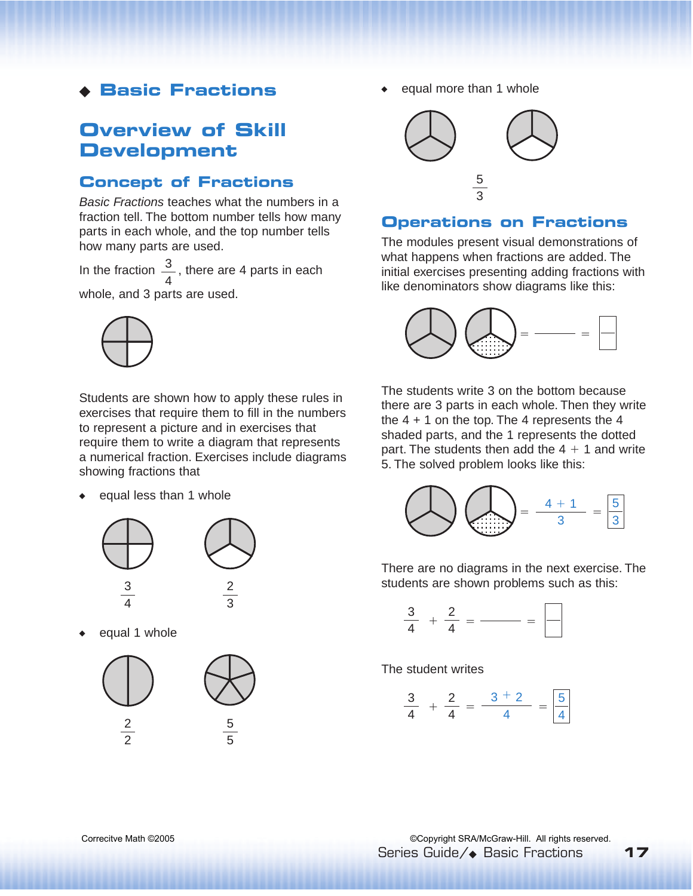## ◆ **Basic Fractions**

# **Overview of Skill Development**

### **Concept of Fractions**

Basic Fractions teaches what the numbers in a fraction tell. The bottom number tells how many parts in each whole, and the top number tells how many parts are used.

In the fraction  $\frac{3}{2}$ , there are 4 parts in each whole, and 3 parts are used. 4



Students are shown how to apply these rules in exercises that require them to fill in the numbers to represent a picture and in exercises that require them to write a diagram that represents a numerical fraction. Exercises include diagrams showing fractions that

equal less than 1 whole



equal 1 whole



equal more than 1 whole



#### **Operations on Fractions**

The modules present visual demonstrations of what happens when fractions are added. The initial exercises presenting adding fractions with like denominators show diagrams like this:



The students write 3 on the bottom because there are 3 parts in each whole. Then they write the  $4 + 1$  on the top. The 4 represents the  $4$ shaded parts, and the 1 represents the dotted part. The students then add the  $4 + 1$  and write 5. The solved problem looks like this:



There are no diagrams in the next exercise. The students are shown problems such as this:

$$
\frac{3}{4} + \frac{2}{4} = \underline{\hspace{1cm}} = \underline{\hspace{1cm}} = \underline{\hspace{1cm}}
$$

The student writes

$$
\frac{3}{4} + \frac{2}{4} = \frac{3+2}{4} = \boxed{\frac{5}{4}}
$$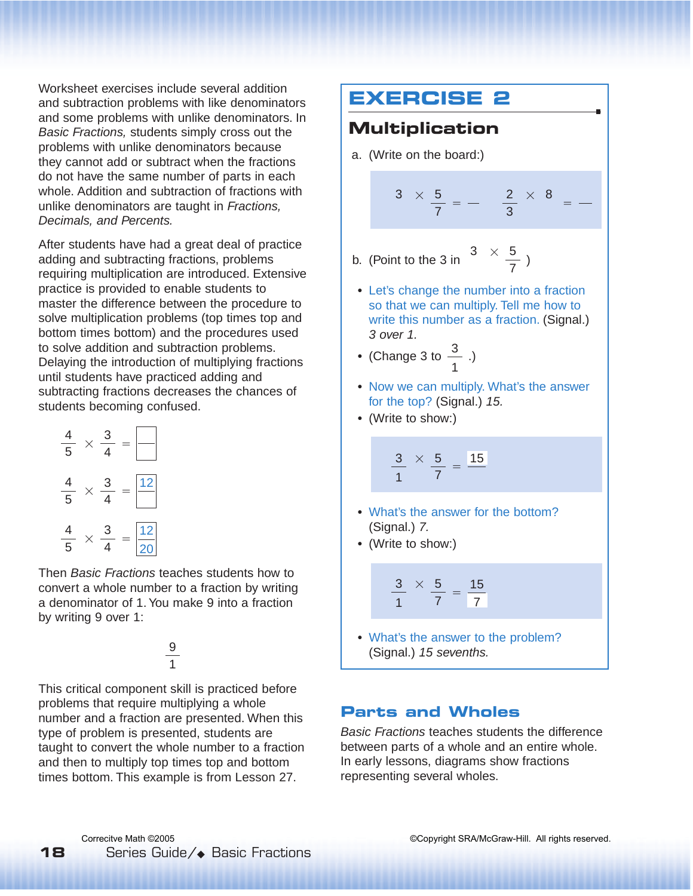Worksheet exercises include several addition and subtraction problems with like denominators and some problems with unlike denominators. In Basic Fractions, students simply cross out the problems with unlike denominators because they cannot add or subtract when the fractions do not have the same number of parts in each whole. Addition and subtraction of fractions with unlike denominators are taught in Fractions. Decimals, and Percents.

After students have had a great deal of practice adding and subtracting fractions, problems requiring multiplication are introduced. Extensive practice is provided to enable students to master the difference between the procedure to solve multiplication problems (top times top and bottom times bottom) and the procedures used to solve addition and subtraction problems. Delaying the introduction of multiplying fractions until students have practiced adding and subtracting fractions decreases the chances of students becoming confused.

| 4<br>5              | 3<br>4              |  |
|---------------------|---------------------|--|
| 4<br>$\overline{5}$ | 3<br>$\overline{2}$ |  |
| 5                   | $\overline{2}$<br>3 |  |

Then Basic Fractions teaches students how to convert a whole number to a fraction by writing a denominator of 1. You make 9 into a fraction by writing 9 over 1:

#### 9 1

This critical component skill is practiced before problems that require multiplying a whole number and a fraction are presented. When this type of problem is presented, students are taught to convert the whole number to a fraction and then to multiply top times top and bottom times bottom. This example is from Lesson 27.

## **EXERCISE 2 Multiplication**  a. (Write on the board:)  $\times \frac{5}{7} = - \frac{2}{3} \times 8 =$ b. (Point to the 3 in  $\frac{3 \times 5}{7}$ ) **•** Let's change the number into a fraction so that we can multiply. Tell me how to write this number as a fraction. (Signal.) 3 over 1. • (Change 3 to  $\frac{3}{2}$  .) **•** Now we can multiply. What's the answer for the top? (Signal.) 15. **•** (Write to show:)  $\times$   $\frac{5}{7}$  =  $\frac{15}{7}$ **•** What's the answer for the bottom? (Signal.) 7. **•** (Write to show:)  $\times$   $\frac{5}{7}$  =  $\frac{15}{7}$ **•** What's the answer to the problem? (Signal.) 15 sevenths. 7 5 7 3 1 7 3 1 1 7 3 3 5 7 3

#### **Parts and Wholes**

Basic Fractions teaches students the difference between parts of a whole and an entire whole. In early lessons, diagrams show fractions representing several wholes.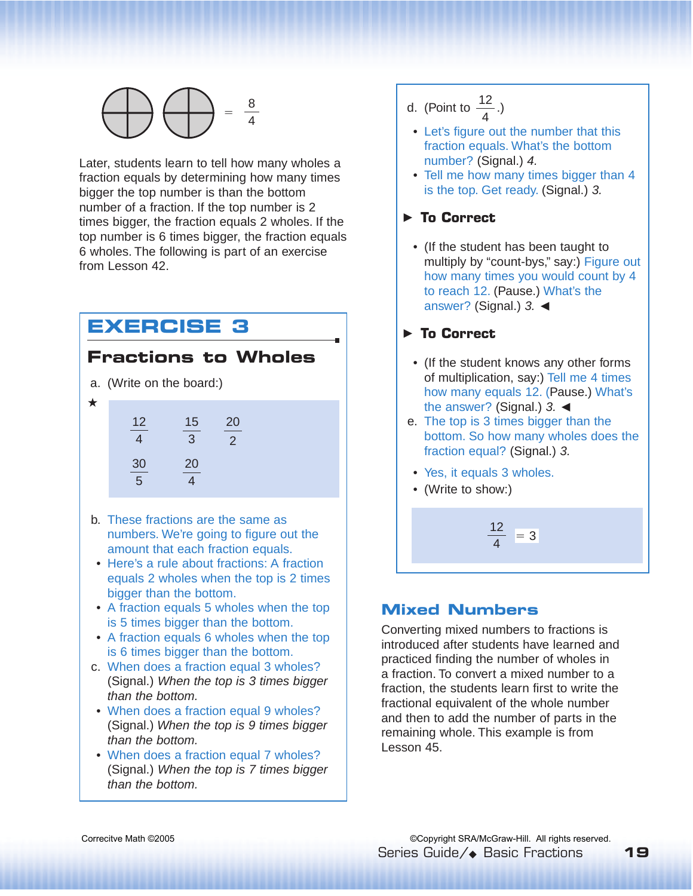

Later, students learn to tell how many wholes a fraction equals by determining how many times bigger the top number is than the bottom number of a fraction. If the top number is 2 times bigger, the fraction equals 2 wholes. If the top number is 6 times bigger, the fraction equals 6 wholes. The following is part of an exercise from Lesson 42.

# **EXERCISE 3**

### **Fractions to Wholes**

- a. (Write on the board:)
- ★

| 12<br>4 | 15<br>3 | 20<br>2 |
|---------|---------|---------|
| 30      | 20      |         |
| 5       | 4       |         |

- b. These fractions are the same as numbers. We're going to figure out the amount that each fraction equals.
- Here's a rule about fractions: A fraction equals 2 wholes when the top is 2 times bigger than the bottom.
- A fraction equals 5 wholes when the top is 5 times bigger than the bottom.
- A fraction equals 6 wholes when the top is 6 times bigger than the bottom.
- c. When does a fraction equal 3 wholes? (Signal.) When the top is 3 times bigger than the bottom.
- When does a fraction equal 9 wholes? (Signal.) When the top is 9 times bigger than the bottom.
- When does a fraction equal 7 wholes? (Signal.) When the top is 7 times bigger than the bottom.

d. (Point to  $\frac{12}{4}$ .) 4

- Let's figure out the number that this fraction equals. What's the bottom number? (Signal.) 4.
- Tell me how many times bigger than 4 is the top. Get ready. (Signal.) 3.

#### **To Correct** ▲

• (If the student has been taught to multiply by "count-bys," say:) Figure out how many times you would count by 4 to reach 12. (Pause.) What's the answer? (Signal.) 3. ◀

#### **To Correct** ▲

- (If the student knows any other forms of multiplication, say:) Tell me 4 times how many equals 12. (Pause.) What's the answer? (Signal.) 3. ◀
- e. The top is 3 times bigger than the bottom. So how many wholes does the fraction equal? (Signal.) 3.
- Yes, it equals 3 wholes.
- (Write to show:)



### **Mixed Numbers**

Converting mixed numbers to fractions is introduced after students have learned and practiced finding the number of wholes in a fraction. To convert a mixed number to a fraction, the students learn first to write the fractional equivalent of the whole number and then to add the number of parts in the remaining whole. This example is from Lesson 45.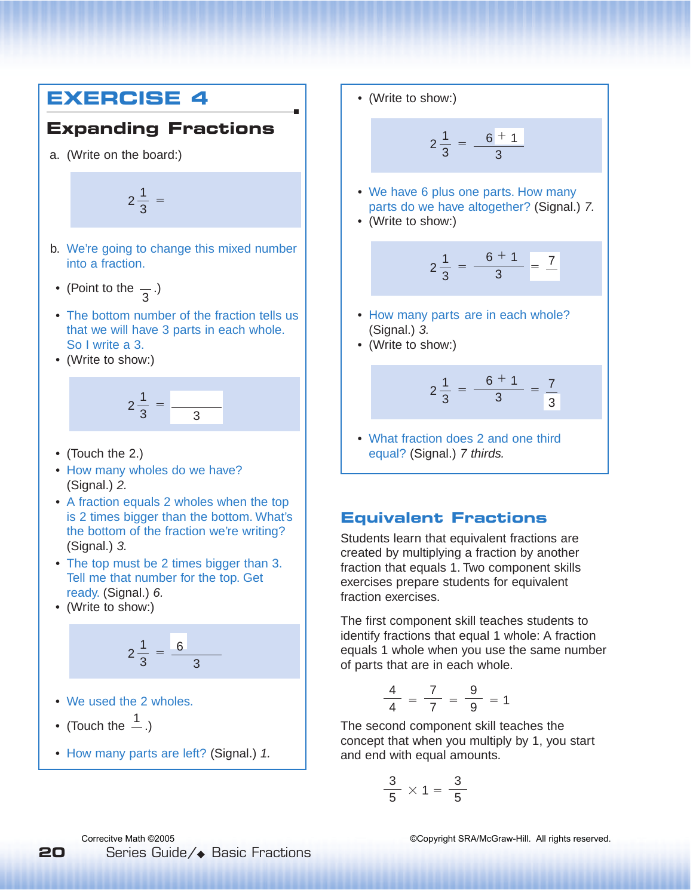# **EXERCISE 4**

## **Expanding Fractions**

a. (Write on the board:)

 $2\frac{1}{2}$  = 3

- b. We're going to change this mixed number into a fraction.
- (Point to the  $\overline{z}$ .) 3
- The bottom number of the fraction tells us that we will have 3 parts in each whole. So I write a 3.
- (Write to show:)



- (Touch the 2.)
- How many wholes do we have? (Signal.) 2.
- A fraction equals 2 wholes when the top is 2 times bigger than the bottom. What's the bottom of the fraction we're writing? (Signal.) 3.
- The top must be 2 times bigger than 3. Tell me that number for the top. Get ready. (Signal.) 6.
- (Write to show:)

$$
2\frac{1}{3}=\frac{6}{3}
$$

• We used the 2 wholes.

• (Touch the  $\frac{1}{n}$ .)

• How many parts are left? (Signal.) 1.

• (Write to show:)

$$
2\frac{1}{3} = \frac{6+1}{3}
$$

- We have 6 plus one parts. How many parts do we have altogether? (Signal.) 7.
- (Write to show:)

$$
2\frac{1}{3} = \frac{6+1}{3} = \frac{7}{3}
$$

- How many parts are in each whole? (Signal.) 3.
- (Write to show:)

$$
2\frac{1}{3}=\frac{6+1}{3}=\frac{7}{3}
$$

• What fraction does 2 and one third equal? (Signal.) 7 thirds.

#### **Equivalent Fractions**

Students learn that equivalent fractions are created by multiplying a fraction by another fraction that equals 1. Two component skills exercises prepare students for equivalent fraction exercises.

The first component skill teaches students to identify fractions that equal 1 whole: A fraction equals 1 whole when you use the same number of parts that are in each whole.

$$
\frac{4}{4} = \frac{7}{7} = \frac{9}{9} = 1
$$

The second component skill teaches the concept that when you multiply by 1, you start and end with equal amounts.

$$
\frac{3}{5} \times 1 = \frac{3}{5}
$$